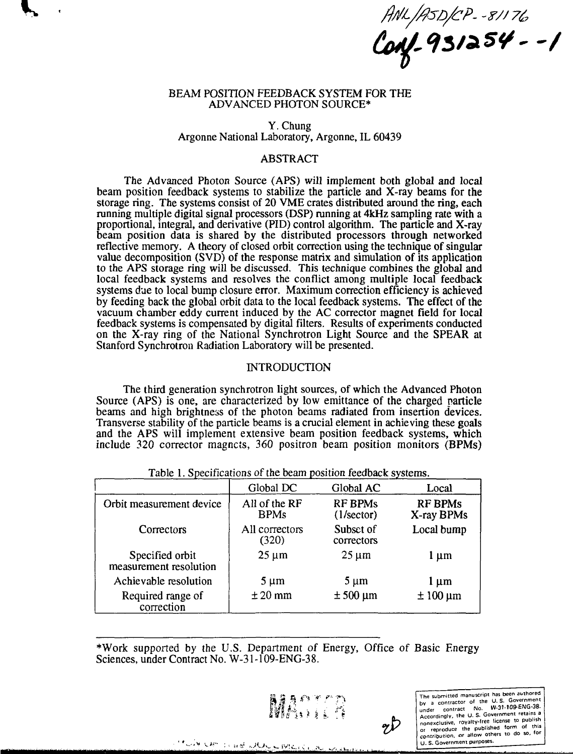ANL/ASD/CP - 8/176<br>**Conf - 931254 - - 1** 

### BEAM POSITION FEEDBACK SYSTEM FOR THE ADVANCED PHOTON SOURCE\*

### Y. Chung Argonne National Laboratory, Argonne, IL 60439

# ABSTRACT

The Advanced Photon Source (APS) will implement both global and local beam position feedback systems to stabilize the particle and X-ray beams for the storage ring. The systems consist of 20 VME crates distributed around the ring, each running multiple digital signal processors (DSP) running at 4kHz sampling rate with a proportional, integral, and derivative (PID) control algorithm. The particle and X-ray beam position data is shared by the distributed processors through networked reflective memory. A theory of closed orbit correction using the technique of singular value decomposition (SVD) of the response matrix and simulation of its application to the APS storage ring will be discussed. This technique combines the global and local feedback systems and resolves the conflict among multiple local feedback systems due to local bump closure error. Maximum correction efficiency is achieved by feeding back the global orbit data to the local feedback systems. The effect of the vacuum chamber eddy current induced by the AC corrector magnet field for local feedback systems is compensated by digital filters. Results of experiments conducted on the X-ray ring of the National Synchrotron Light Source and the SPEAR at Stanford Synchrotron Radiation Laboratory will be presented.

### INTRODUCTION

The third generation synchrotron light sources, of which the Advanced Photon Source (APS) is one, are characterized by low emittance of the charged particle beams and high brightness of the photon beams radiated from insertion devices. Transverse stability of the particle beams is a crucial element in achieving these goals and the APS will implement extensive beam position feedback systems, which include 320 corrector magnets, 360 positron beam position monitors (BPMs)

|                                           | Global DC                    | Global AC                             | Local                        |
|-------------------------------------------|------------------------------|---------------------------------------|------------------------------|
| Orbit measurement device                  | All of the RF<br><b>BPMs</b> | <b>RF BPMs</b><br>$(1/\text{sector})$ | <b>RF BPMs</b><br>X-ray BPMs |
| Correctors                                | All correctors<br>(320)      | Subset of<br>correctors               | Local bump                   |
| Specified orbit<br>measurement resolution | $25 \mu m$                   | $25 \mu m$                            | l µm                         |
| Achievable resolution                     | 5 µm                         | $5 \mu m$                             | l µm                         |
| Required range of<br>correction           | $± 20$ mm                    | $\pm 500 \,\mathrm{\upmu m}$          | $±100 \mu m$                 |

|  |  |  | Table 1. Specifications of the beam position feedback systems. |  |
|--|--|--|----------------------------------------------------------------|--|
|  |  |  |                                                                |  |

\*Work supported by the U.S. Department of Energy, Office of Basic Energy Sciences, under Contract No. W-31-109-ENG-38.



The submitted manuscript has been authored by a contractor of the U.S. Government<br>under contract No. W-31-109-ENG-3B.<br>Accordingly, the U.S. Government retains a<br>conexclusive, royalty-free license to publish<br>on reproduct the published form of this<br>contribution. Or a U. S. Government purposes.<br>Contribution, or allow others to do so, for<br>U.S. Government purposes.

CONSIDERATION CONTINUES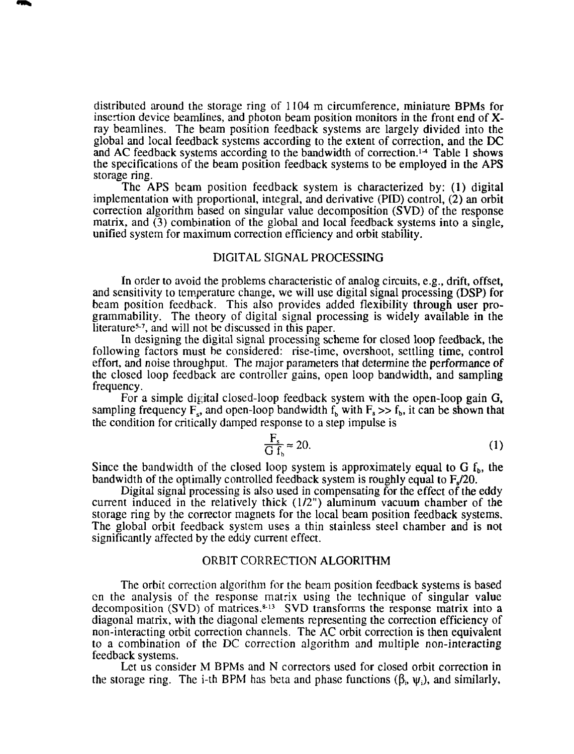distributed around the storage ring of 1104 m circumference, miniature BPMs for insertion device beamlines, and photon beam position monitors in the front end of Xray beamlines. The beam position feedback systems are largely divided into the global and local feedback systems according to the extent of correction, and the DC and AC feedback systems according to the bandwidth of correction.<sup>14</sup> Table 1 shows the specifications of the beam position feedback systems to be employed in the APS storage ring.

The APS beam position feedback system is characterized by: (1) digital implementation with proportional, integral, and derivative (PID) control, (2) an orbit correction algorithm based on singular value decomposition (SVD) of the response matrix, and (3) combination of the global and local feedback systems into a single, unified system for maximum correction efficiency and orbit stability.

### DIGITAL SIGNAL PROCESSING

In order to avoid the problems characteristic of analog circuits, e.g., drift, offset, and sensitivity to temperature change, we will use digital signal processing (DSP) for beam position feedback. This also provides added flexibility through user programmability. The theory of digital signal processing is widely available in the literature<sup>5-7</sup>, and will not be discussed in this paper.

In designing the digital signal processing scheme for closed loop feedback, the following factors must be considered: rise-time, overshoot, settling time, control effort, and noise throughput. The major parameters that determine the performance of the closed loop feedback are controller gains, open loop bandwidth, and sampling frequency.

For a simple digital closed-loop feedback system with the open-loop gain G, sampling frequency  $F_s$ , and open-loop bandwidth  $f_b$  with  $F_s >> f_b$ , it can be shown that the condition for critically damped response to a step impulse is

$$
\frac{F_s}{G f_b} \approx 20. \tag{1}
$$

Since the bandwidth of the closed loop system is approximately equal to  $G$   $f<sub>b</sub>$ , the bandwidth of the optimally controlled feedback system is roughly equal to F./20.

Digital signal processing is also used in compensating for the effect of the eddy current induced in the relatively thick (1/2") aluminum vacuum chamber of the storage ring by the corrector magnets for the local beam position feedback systems. The global orbit feedback system uses a thin stainless steel chamber and is not significantly affected by the eddy current effect.

### ORBIT CORRECTION ALGORITHM

The orbit correction algorithm for the beam position feedback systems is based on the analysis of the response matrix using the technique of singular value decomposition (SVD) of matrices.<sup>8-13</sup> SVD transforms the response matrix into a diagonal matrix, with the diagonal elements representing the correction efficiency of non-interacting orbit correction channels. The AC orbit correction is then equivalent to a combination of the DC correction algorithm and multiple non-interacting feedback systems.

Let us consider M BPMs and N correctors used for closed orbit correction in the storage ring. The i-th BPM has beta and phase functions  $(\beta_i, \psi_i)$ , and similarly,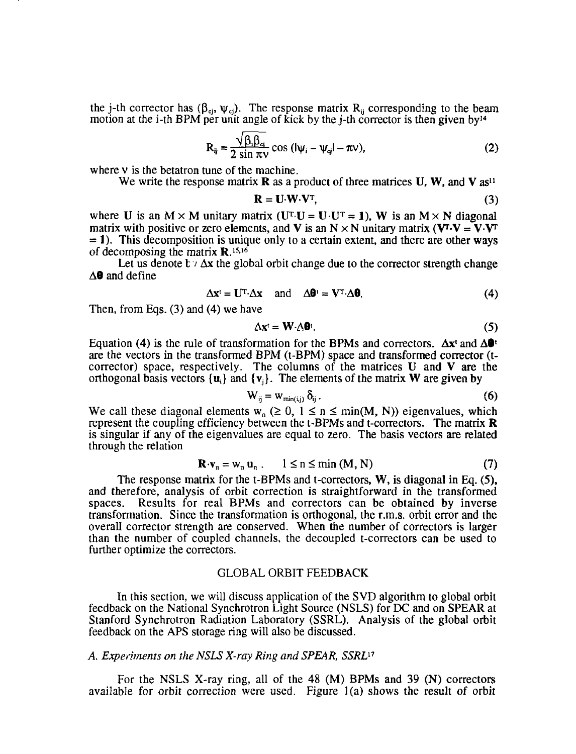the j-th corrector has  $(\beta_{c_j}, \psi_{c_j})$ . The response matrix R<sub>ij</sub> corresponding to the beam motion at the i-th BPM per unit angle of kick by the j-th corrector is then given by<sup>14</sup>

$$
R_{ij} = \frac{\sqrt{\beta_i \beta_{ci}}}{2 \sin \pi v} \cos (|\psi_i - \psi_{cj}| - \pi v),
$$
 (2)

where v is the betatron tune of the machine.

We write the response matrix **R** as a product of three matrices **U**, **W**, and **V** as<sup>11</sup>

$$
\mathbf{R} = \mathbf{U} \cdot \mathbf{W} \cdot \mathbf{V}^{\mathrm{T}},\tag{3}
$$

where U is an  $M \times M$  unitary matrix (U<sup>T</sup>·U = U·U<sup>T</sup> = 1), W is an  $M \times N$  diagonal matrix with positive or zero elements, and **V** is an N  $\times$  N unitary matrix (**V**<sup>T</sup>·**V** = **V**·**V**<sup>T</sup>  $= 1$ ). This decomposition is unique only to a certain extent, and there are other ways of decomposing the matrix  $\mathbf{R}$ .<sup>15,16</sup>

Let us denote  $b \vee \Delta x$  the global orbit change due to the corrector strength change  $\Delta$ **0** and define

$$
\Delta \mathbf{x}^{\mathsf{t}} = \mathbf{U}^{\mathrm{T}} \cdot \Delta \mathbf{x} \quad \text{and} \quad \Delta \mathbf{\theta}^{\mathsf{t}} = \mathbf{V}^{\mathrm{T}} \cdot \Delta \mathbf{\theta}. \tag{4}
$$

Then, from Eqs. (3) and (4) we have

$$
\Delta \mathbf{x}^{\mathsf{t}} = \mathbf{W} \cdot \Delta \mathbf{\Theta}^{\mathsf{t}}.\tag{5}
$$

Equation (4) is the rule of transformation for the BPMs and correctors.  $\Delta x^t$  and  $\Delta \mathbf{0}^t$ are the vectors in the transformed BPM (t-BPM) space and transformed corrector (tcorrector) space, respectively. The columns of the matrices U and V are the orthogonal basis vectors  $\{u_i\}$  and  $\{v_i\}$ . The elements of the matrix W are given by

$$
W_{ij} = W_{min(i,j)} \, \delta_{ij} \,. \tag{6}
$$

We call these diagonal elements  $w_n \geq 0$ ,  $1 \leq n \leq \min(M, N)$  eigenvalues, which represent the coupling efficiency between the t-BPMs and t-correctors. The matrix  $\bf{R}$ is singular if any of the eigenvalues are equal to zero. The basis vectors are related through the relation

$$
\mathbf{R} \cdot \mathbf{v}_n = \mathbf{w}_n \, \mathbf{u}_n \, . \qquad 1 \le n \le \min \left( \mathbf{M}, \mathbf{N} \right) \tag{7}
$$

The response matrix for the t-BPMs and t-correctors, W, is diagonal in Eq. (5), and therefore, analysis of orbit correction is straightforward in the transformed spaces. Results for real BPMs and correctors can be obtained by inverse Results for real BPMs and correctors can be obtained by inverse transformation. Since the transformation is orthogonal, the r.m.s. orbit error and the overall corrector strength are conserved. When the number of correctors is larger than the number of coupled channels, the decoupled t-correctors can be used to further optimize the correctors.

### GLOBAL ORBIT FEEDBACK

In this section, we will discuss application of the SVD algorithm to global orbit feedback on the National Synchrotron Light Source (NSLS) for DC and on SPEAR at Stanford Synchrotron Radiation Laboratory (SSRL). Analysis of the global orbit feedback on the APS storage ring will also be discussed.

#### *A. Experiments on the NSLS X-ray Ring and SPEAR, SSRL<sup>17</sup>*

For the NSLS X-ray ring, all of the 48 (M) BPMs and 39 (N) correctors available for orbit correction were used. Figure l(a) shows the result of orbit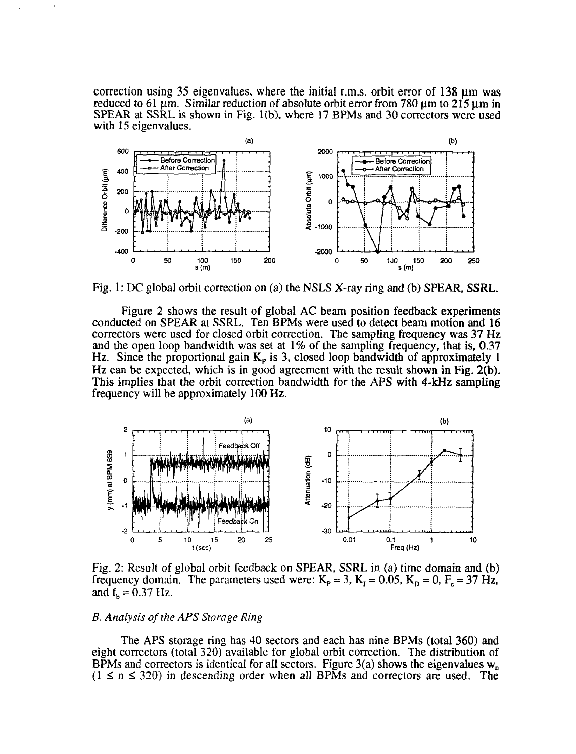correction using 35 eigenvalues, where the initial r.m.s. orbit error of 138  $\mu$ m was reduced to 61  $\mu$ m. Similar reduction of absolute orbit error from 780  $\mu$ m to 215  $\mu$ m in SPEAR at SSRL is shown in Fig. l(b), where 17 BPMs and 30 correctors were used with 15 eigenvalues.



Fig. 1: DC global orbit correction on (a) the NSLS X-ray ring and (b) SPEAR, SSRL.

Figure 2 shows the result of global AC beam position feedback experiments conducted on SPEAR at SSRL. Ten BPMs were used to detect beam motion and 16 correctors were used for closed orbit correction. The sampling frequency was 37 Hz and the open loop bandwidth was set at 1% of the sampling frequency, that is, 0.37 Hz. Since the proportional gain  $K_p$  is 3, closed loop bandwidth of approximately 1 Hz can be expected, which is in good agreement with the result shown in Fig. 2(b). This implies that the orbit correction bandwidth for the APS with 4-kHz sampling frequency will be approximately 100 Hz.



Fig. 2: Result of global orbit feedback on SPEAR, SSRL in (a) time domain and (b) frequency domain. The parameters used were:  $K_p = 3$ ,  $K_I = 0.05$ ,  $K_D = 0$ ,  $F_s = 37$  Hz, and  $f_h = 0.37$  Hz.

### *B. Analysis of the APS Storage Ring*

The APS storage ring has 40 sectors and each has nine BPMs (total 360) and eight correctors (total 320) available for global orbit correction. The distribution of BPMs and correctors is identical for all sectors. Figure 3(a) shows the eigenvalues  $w_n$  $(1 \le n \le 320)$  in descending order when all BPMs and correctors are used. The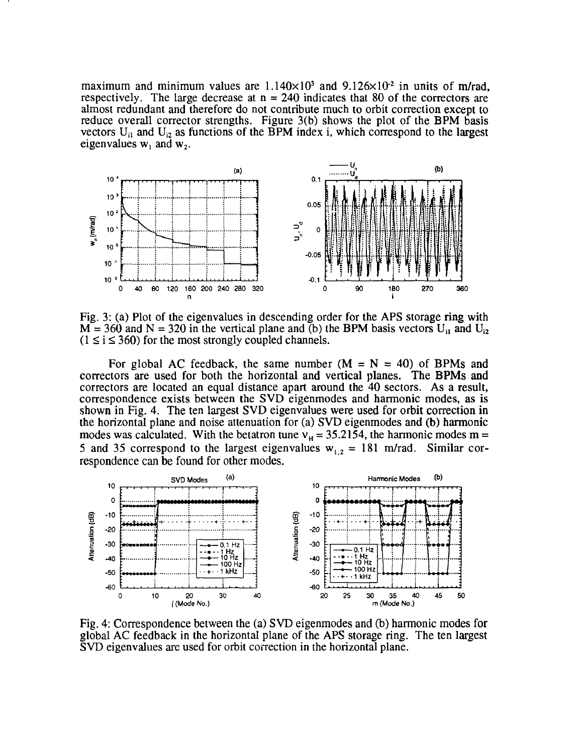maximum and minimum values are  $1.140 \times 10^3$  and  $9.126 \times 10^3$  in units of m/rad, respectively. The large decrease at  $n = 240$  indicates that 80 of the correctors are almost redundant and therefore do not contribute much to orbit correction except to reduce overall corrector strengths. Figure 3(b) shows the plot of the **BPM** basis vectors  $U_{i1}$  and  $U_{i2}$  as functions of the BPM index i, which correspond to the largest eigenvalues  $w_1$  and  $w_2$ .



Fig. 3: (a) Plot of the eigenvalues in descending order for the APS storage ring with  $M = 360$  and  $N = 320$  in the vertical plane and (b) the BPM basis vectors U<sub>i1</sub> and U<sub>i2</sub>  $(1 \le i \le 360)$  for the most strongly coupled channels.

For global AC feedback, the same number  $(M = N = 40)$  of BPMs and correctors are used for both the horizontal and vertical planes. The **BPMs and** correctors are located an equal distance apart around the 40 sectors. As a result, correspondence exists between the SVD eigenmodes and harmonic modes, as is shown in Fig. 4. The ten largest SVD eigenvalues were used for orbit correction in the horizontal plane and noise attenuation for (a) SVD eigenmodes and (b) harmonic modes was calculated. With the betatron tune  $v_H = 35.2154$ , the harmonic modes m = 5 and 35 correspond to the largest eigenvalues  $w_{12} = 181$  m/rad. Similar correspondence can be found for other modes.



Fig. 4: Correspondence between the (a) SVD eigenmodes and (b) harmonic modes for global AC feedback in the horizontal plane of the APS storage ring. The ten largest SVD eigenvalues are used for orbit correction in the horizontal plane.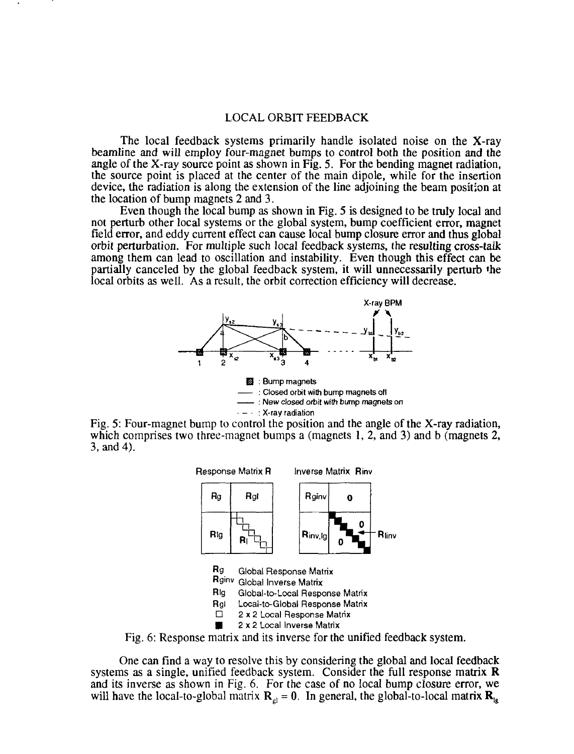## LOCAL ORBIT FEEDBACK

The local feedback systems primarily handle isolated noise on the X-ray beamline and will employ four-magnet bumps to control both the position and the angle of the X-ray source point as shown in Fig. 5. For the bending magnet radiation, the source point is placed at the center of the main dipole, while for the insertion device, the radiation is along the extension of the line adjoining the beam position at the location of bump magnets 2 and 3.

Even though the local bump as shown in Fig. 5 is designed to be truly local and not perturb other local systems or the global system, bump coefficient error, magnet field error, and eddy current effect can cause local bump closure error and thus global orbit perturbation. For multiple such local feedback systems, the resulting cross-taik among them can lead to oscillation and instability. Even though this effect can be partially canceled by the global feedback system, it will unnecessarily perturb \*he local orbits as well. As a result, the orbit correction efficiency will decrease.



Fig. 5: Four-magnet bump to control the position and the angle of the X-ray radiation, which comprises two three-magnet bumps a (magnets 1, 2, and 3) and b (magnets 2, 3, and 4).



Fig. 6: Response matrix and its inverse for the unified feedback system.

One can find a way to resolve this by considering the global and local feedback systems as a single, unified feedback system. Consider the full response matrix  $$ and its inverse as shown in Fig. 6. For the case of no local bump closure error, we will have the local-to-global matrix  $\mathbf{R}_{el} = 0$ . In general, the global-to-local matrix  $\mathbf{R}_{le}$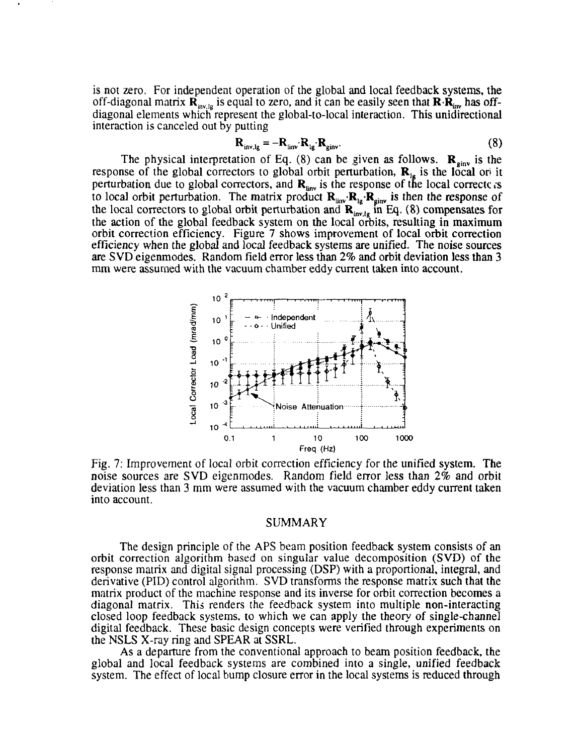is not zero. For independent operation of the global and local feedback systems, the off-diagonal matrix  $\mathbf{R}_{\text{inv},\text{lg}}$  is equal to zero, and it can be easily seen that  $\mathbf{R}\cdot\mathbf{R}_{\text{inv}}$  has offdiagonal elements which represent the global-to-local interaction. This unidirectional interaction is canceled out by putting

$$
\mathbf{R}_{\text{inv},\text{lg}} = -\mathbf{R}_{\text{inv}} \cdot \mathbf{R}_{\text{lg}} \cdot \mathbf{R}_{\text{ginv}}.
$$
 (8)

The physical interpretation of Eq. (8) can be given as follows.  $\mathbf{R}_{\text{ginv}}$  is the response of the global correctors to global orbit perturbation,  $\mathbf{R}_{1g}$  is the local ordit perturbation due to global correctors, and  $\mathbf{R}_{\text{inv}}$  is the response of the local correctc rs to local orbit perturbation. The matrix product  $\mathbf{R}_{\text{inv}}\cdot\mathbf{R}_{\text{inv}}$  is then the response of the local correctors to global orbit perturbation and  $\mathbf{R}^{\text{max}}_{\text{intra}}$  in Eq. (8) compensates for the action of the global feedback system on the local orbits, resulting in maximum orbit correction efficiency. Figure 7 shows improvement of local orbit correction efficiency when the global and local feedback systems are unified. The noise sources are SVD eigenmodes. Random field error less than 2% and orbit deviation less than 3 mm were assumed with the vacuum chamber eddy current taken into account.



Fig. 7: Improvement of local orbit correction efficiency for the unified system. The noise sources are SVD eigenmodes. Random field error less than 2% and orbit deviation less than 3 mm were assumed with the vacuum chamber eddy current taken into account.

### SUMMARY

The design principle of the APS beam position feedback system consists of an orbit correction algorithm based on singular value decomposition (SVD) of the response matrix and digital signal processing (DSP) with a proportional, integral, and derivative (PID) control algorithm. SVD transforms the response matrix such that the matrix product of the machine response and its inverse for orbit correction becomes a diagonal matrix. This renders the feedback system into multiple non-interacting closed loop feedback systems, to which we can apply the theory of single-channel digital feedback. These basic design concepts were verified through experiments on the NSLS X-ray ring and SPEAR at SSRL.

As a departure from the conventional approach to beam position feedback, the global and local feedback systems are combined into a single, unified feedback system. The effect of local bump closure error in the local systems is reduced through